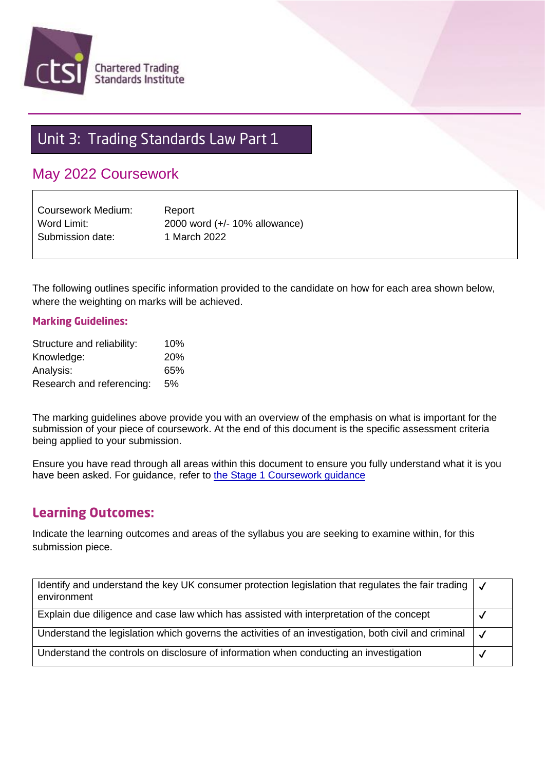

# Unit 3: Trading Standards Law Part 1

# May 2022 Coursework

Coursework Medium: Report Word Limit: 2000 word (+/- 10% allowance) Submission date: 1 March 2022

The following outlines specific information provided to the candidate on how for each area shown below, where the weighting on marks will be achieved.

#### **Marking Guidelines:**

| Structure and reliability: | 10%        |
|----------------------------|------------|
| Knowledge:                 | <b>20%</b> |
| Analysis:                  | 65%        |
| Research and referencing:  | 5%         |

The marking guidelines above provide you with an overview of the emphasis on what is important for the submission of your piece of coursework. At the end of this document is the specific assessment criteria being applied to your submission.

Ensure you have read through all areas within this document to ensure you fully understand what it is you have been asked. For guidance, refer to [the Stage 1 Coursework guidance](https://www.tradingstandards.uk/practitioners/training-development/qualifications-resources#stage1info)

#### **Learning Outcomes:**

Indicate the learning outcomes and areas of the syllabus you are seeking to examine within, for this submission piece.

| Identify and understand the key UK consumer protection legislation that regulates the fair trading $\vert \mathcal{J} \vert$<br>environment |  |
|---------------------------------------------------------------------------------------------------------------------------------------------|--|
| Explain due diligence and case law which has assisted with interpretation of the concept                                                    |  |
| Understand the legislation which governs the activities of an investigation, both civil and criminal                                        |  |
| Understand the controls on disclosure of information when conducting an investigation                                                       |  |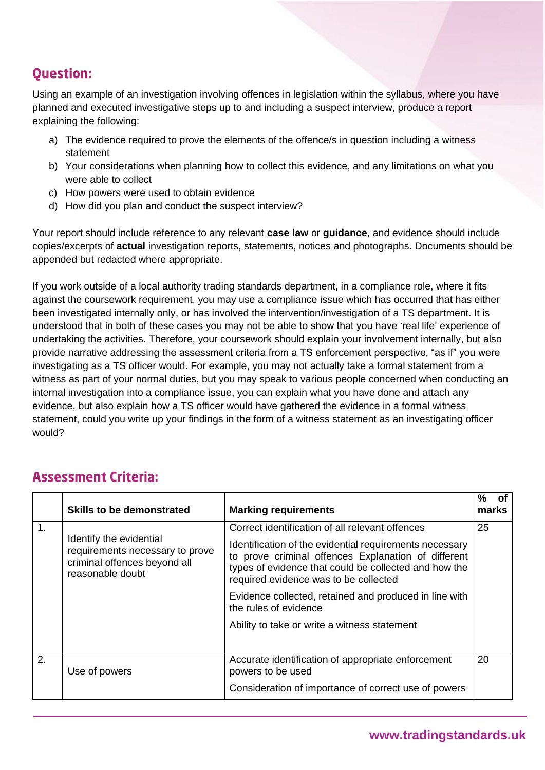# **Ouestion:**

Using an example of an investigation involving offences in legislation within the syllabus, where you have planned and executed investigative steps up to and including a suspect interview, produce a report explaining the following:

- a) The evidence required to prove the elements of the offence/s in question including a witness statement
- b) Your considerations when planning how to collect this evidence, and any limitations on what you were able to collect
- c) How powers were used to obtain evidence
- d) How did you plan and conduct the suspect interview?

Your report should include reference to any relevant **case law** or **guidance**, and evidence should include copies/excerpts of **actual** investigation reports, statements, notices and photographs. Documents should be appended but redacted where appropriate.

If you work outside of a local authority trading standards department, in a compliance role, where it fits against the coursework requirement, you may use a compliance issue which has occurred that has either been investigated internally only, or has involved the intervention/investigation of a TS department. It is understood that in both of these cases you may not be able to show that you have 'real life' experience of undertaking the activities. Therefore, your coursework should explain your involvement internally, but also provide narrative addressing the assessment criteria from a TS enforcement perspective, "as if" you were investigating as a TS officer would. For example, you may not actually take a formal statement from a witness as part of your normal duties, but you may speak to various people concerned when conducting an internal investigation into a compliance issue, you can explain what you have done and attach any evidence, but also explain how a TS officer would have gathered the evidence in a formal witness statement, could you write up your findings in the form of a witness statement as an investigating officer would?

|    | <b>Skills to be demonstrated</b>                                                                               | <b>Marking requirements</b>                                                                                                                                                                                      | ℅<br>marks | Οf |
|----|----------------------------------------------------------------------------------------------------------------|------------------------------------------------------------------------------------------------------------------------------------------------------------------------------------------------------------------|------------|----|
| 1. |                                                                                                                | Correct identification of all relevant offences                                                                                                                                                                  | 25         |    |
|    | Identify the evidential<br>requirements necessary to prove<br>criminal offences beyond all<br>reasonable doubt | Identification of the evidential requirements necessary<br>to prove criminal offences Explanation of different<br>types of evidence that could be collected and how the<br>required evidence was to be collected |            |    |
|    |                                                                                                                | Evidence collected, retained and produced in line with<br>the rules of evidence                                                                                                                                  |            |    |
|    |                                                                                                                | Ability to take or write a witness statement                                                                                                                                                                     |            |    |
| 2. | Use of powers                                                                                                  | Accurate identification of appropriate enforcement<br>powers to be used                                                                                                                                          | 20         |    |
|    |                                                                                                                | Consideration of importance of correct use of powers                                                                                                                                                             |            |    |

# **Assessment Criteria:**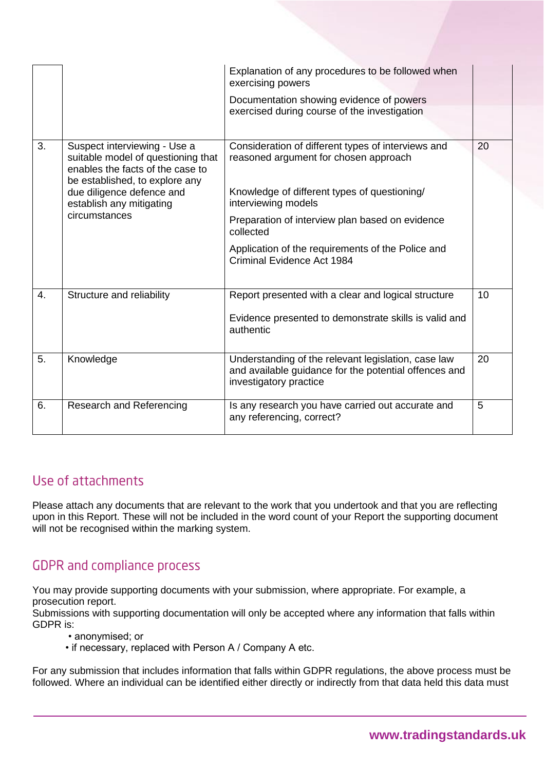| 3.               | Suspect interviewing - Use a<br>suitable model of questioning that<br>enables the facts of the case to   | Explanation of any procedures to be followed when<br>exercising powers<br>Documentation showing evidence of powers<br>exercised during course of the investigation<br>Consideration of different types of interviews and<br>reasoned argument for chosen approach | 20 |
|------------------|----------------------------------------------------------------------------------------------------------|-------------------------------------------------------------------------------------------------------------------------------------------------------------------------------------------------------------------------------------------------------------------|----|
|                  | be established, to explore any<br>due diligence defence and<br>establish any mitigating<br>circumstances | Knowledge of different types of questioning/<br>interviewing models<br>Preparation of interview plan based on evidence<br>collected                                                                                                                               |    |
|                  |                                                                                                          | Application of the requirements of the Police and<br>Criminal Evidence Act 1984                                                                                                                                                                                   |    |
| $\overline{4}$ . | Structure and reliability                                                                                | Report presented with a clear and logical structure<br>Evidence presented to demonstrate skills is valid and<br>authentic                                                                                                                                         | 10 |
| 5.               | Knowledge                                                                                                | Understanding of the relevant legislation, case law<br>and available guidance for the potential offences and<br>investigatory practice                                                                                                                            | 20 |
| 6.               | Research and Referencing                                                                                 | Is any research you have carried out accurate and<br>any referencing, correct?                                                                                                                                                                                    | 5  |

### Use of attachments

Please attach any documents that are relevant to the work that you undertook and that you are reflecting upon in this Report. These will not be included in the word count of your Report the supporting document will not be recognised within the marking system.

## **GDPR** and compliance process

You may provide supporting documents with your submission, where appropriate. For example, a prosecution report.

Submissions with supporting documentation will only be accepted where any information that falls within GDPR is:

- anonymised; or
- if necessary, replaced with Person A / Company A etc.

For any submission that includes information that falls within GDPR regulations, the above process must be followed. Where an individual can be identified either directly or indirectly from that data held this data must